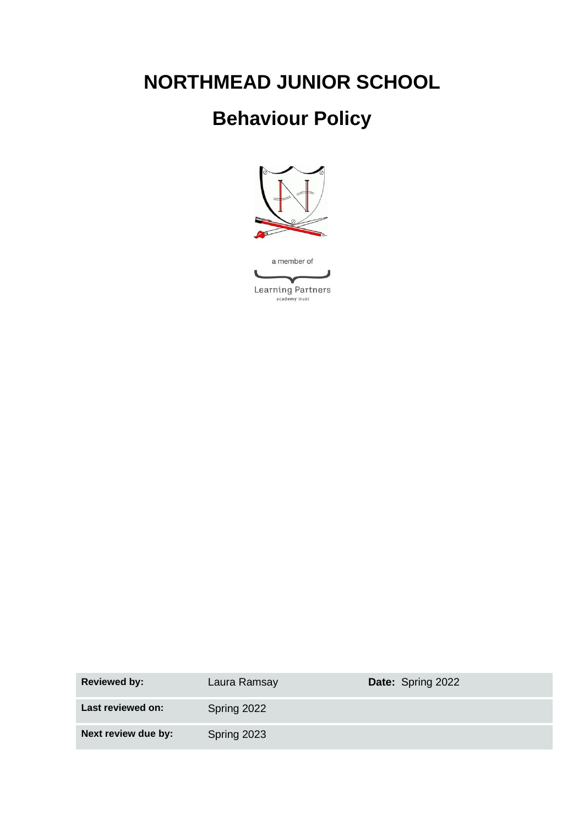# **NORTHMEAD JUNIOR SCHOOL**

# **Behaviour Policy**



| <b>Reviewed by:</b> | Laura Ramsay | <b>Date: Spring 2022</b> |
|---------------------|--------------|--------------------------|
| Last reviewed on:   | Spring 2022  |                          |
| Next review due by: | Spring 2023  |                          |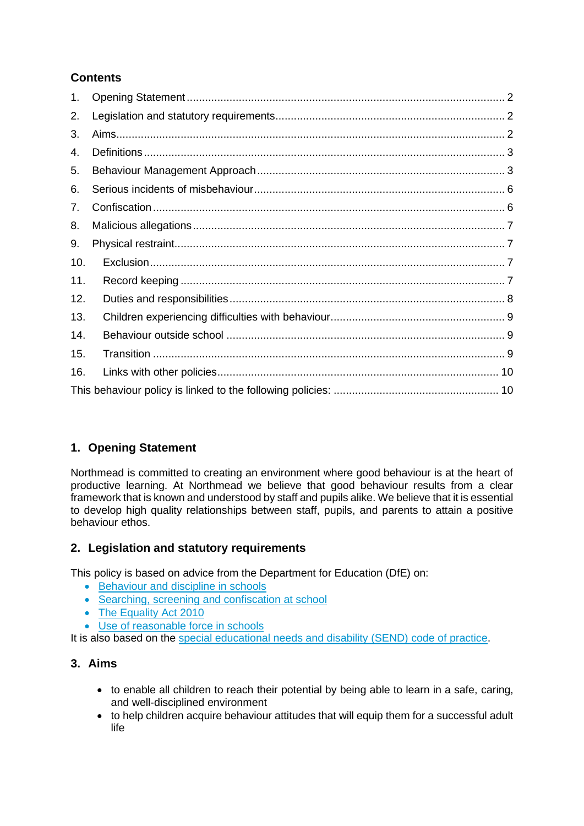## **Contents**

| 1.  |  |
|-----|--|
| 2.  |  |
| 3.  |  |
| 4.  |  |
| 5.  |  |
| 6.  |  |
| 7.  |  |
| 8.  |  |
| 9.  |  |
| 10. |  |
| 11. |  |
| 12. |  |
| 13. |  |
| 14. |  |
| 15. |  |
| 16. |  |
|     |  |

## <span id="page-1-0"></span>**1. Opening Statement**

Northmead is committed to creating an environment where good behaviour is at the heart of productive learning. At Northmead we believe that good behaviour results from a clear framework that is known and understood by staff and pupils alike. We believe that it is essential to develop high quality relationships between staff, pupils, and parents to attain a positive behaviour ethos.

## <span id="page-1-1"></span>**2. Legislation and statutory requirements**

This policy is based on advice from the Department for Education (DfE) on:

- [Behaviour and discipline in schools](https://www.gov.uk/government/publications/behaviour-and-discipline-in-schools)
- [Searching, screening and confiscation at school](https://www.gov.uk/government/publications/searching-screening-and-confiscation)
- The Equality Act 2010
- [Use of reasonable force in schools](https://www.gov.uk/government/publications/use-of-reasonable-force-in-schools)

It is also based on the [special educational needs and disability \(SEND\) code of practice.](https://www.gov.uk/government/publications/send-code-of-practice-0-to-25)

## <span id="page-1-2"></span>**3. Aims**

- to enable all children to reach their potential by being able to learn in a safe, caring, and well-disciplined environment
- to help children acquire behaviour attitudes that will equip them for a successful adult life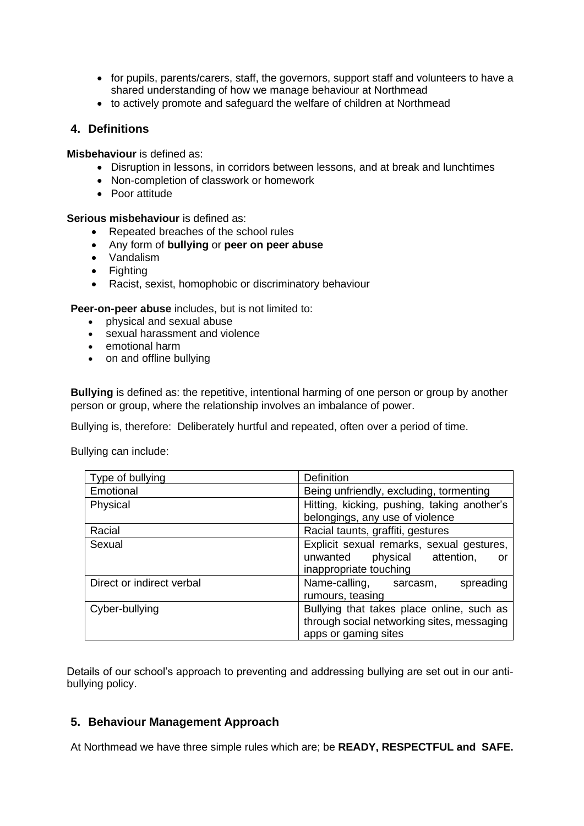- for pupils, parents/carers, staff, the governors, support staff and volunteers to have a shared understanding of how we manage behaviour at Northmead
- to actively promote and safeguard the welfare of children at Northmead

## <span id="page-2-0"></span>**4. Definitions**

**Misbehaviour** is defined as:

- Disruption in lessons, in corridors between lessons, and at break and lunchtimes
- Non-completion of classwork or homework
- Poor attitude

**Serious misbehaviour** is defined as:

- Repeated breaches of the school rules
- Any form of **bullying** or **peer on peer abuse**
- Vandalism
- Fighting
- Racist, sexist, homophobic or discriminatory behaviour

**Peer-on-peer abuse** includes, but is not limited to:

- physical and sexual abuse
- sexual harassment and violence
- emotional harm
- on and offline bullying

**Bullying** is defined as: the repetitive, intentional harming of one person or group by another person or group, where the relationship involves an imbalance of power.

Bullying is, therefore: Deliberately hurtful and repeated, often over a period of time.

Bullying can include:

| Type of bullying          | <b>Definition</b>                                                                                               |
|---------------------------|-----------------------------------------------------------------------------------------------------------------|
| Emotional                 | Being unfriendly, excluding, tormenting                                                                         |
| Physical                  | Hitting, kicking, pushing, taking another's<br>belongings, any use of violence                                  |
| Racial                    | Racial taunts, graffiti, gestures                                                                               |
| Sexual                    | Explicit sexual remarks, sexual gestures,<br>unwanted<br>physical attention,<br>or<br>inappropriate touching    |
| Direct or indirect verbal | Name-calling,<br>spreading<br>sarcasm,<br>rumours, teasing                                                      |
| Cyber-bullying            | Bullying that takes place online, such as<br>through social networking sites, messaging<br>apps or gaming sites |

Details of our school's approach to preventing and addressing bullying are set out in our antibullying policy.

## <span id="page-2-1"></span>**5. Behaviour Management Approach**

At Northmead we have three simple rules which are; be **READY, RESPECTFUL and SAFE.**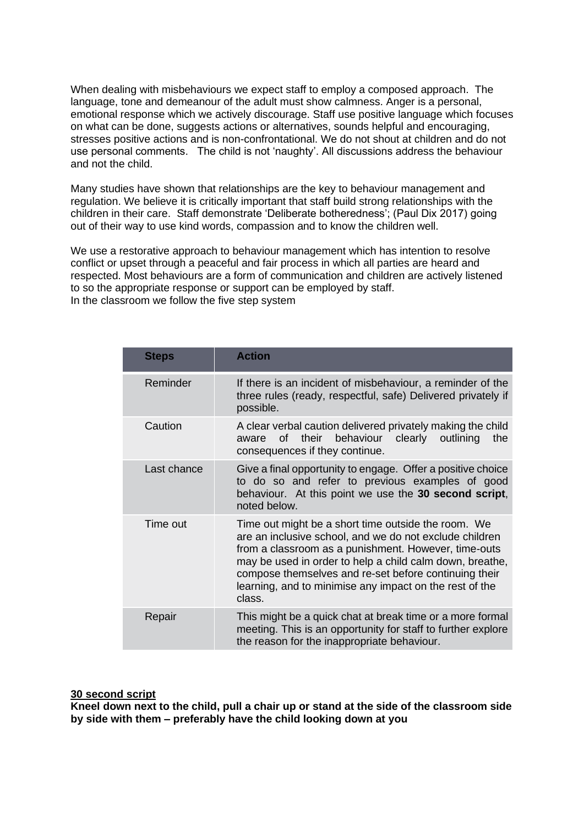When dealing with misbehaviours we expect staff to employ a composed approach. The language, tone and demeanour of the adult must show calmness. Anger is a personal, emotional response which we actively discourage. Staff use positive language which focuses on what can be done, suggests actions or alternatives, sounds helpful and encouraging, stresses positive actions and is non-confrontational. We do not shout at children and do not use personal comments. The child is not 'naughty'. All discussions address the behaviour and not the child.

Many studies have shown that relationships are the key to behaviour management and regulation. We believe it is critically important that staff build strong relationships with the children in their care. Staff demonstrate 'Deliberate botheredness'; (Paul Dix 2017) going out of their way to use kind words, compassion and to know the children well.

We use a restorative approach to behaviour management which has intention to resolve conflict or upset through a peaceful and fair process in which all parties are heard and respected. Most behaviours are a form of communication and children are actively listened to so the appropriate response or support can be employed by staff. In the classroom we follow the five step system

| <b>Steps</b> | <b>Action</b>                                                                                                                                                                                                                                                                                                                                                    |  |
|--------------|------------------------------------------------------------------------------------------------------------------------------------------------------------------------------------------------------------------------------------------------------------------------------------------------------------------------------------------------------------------|--|
| Reminder     | If there is an incident of misbehaviour, a reminder of the<br>three rules (ready, respectful, safe) Delivered privately if<br>possible.                                                                                                                                                                                                                          |  |
| Caution      | A clear verbal caution delivered privately making the child<br>behaviour clearly outlining<br>the<br>their<br>aware of<br>consequences if they continue.                                                                                                                                                                                                         |  |
| Last chance  | Give a final opportunity to engage. Offer a positive choice<br>to do so and refer to previous examples of good<br>behaviour. At this point we use the 30 second script,<br>noted below.                                                                                                                                                                          |  |
| Time out     | Time out might be a short time outside the room. We<br>are an inclusive school, and we do not exclude children<br>from a classroom as a punishment. However, time-outs<br>may be used in order to help a child calm down, breathe,<br>compose themselves and re-set before continuing their<br>learning, and to minimise any impact on the rest of the<br>class. |  |
| Repair       | This might be a quick chat at break time or a more formal<br>meeting. This is an opportunity for staff to further explore<br>the reason for the inappropriate behaviour.                                                                                                                                                                                         |  |

**30 second script**

**Kneel down next to the child, pull a chair up or stand at the side of the classroom side by side with them – preferably have the child looking down at you**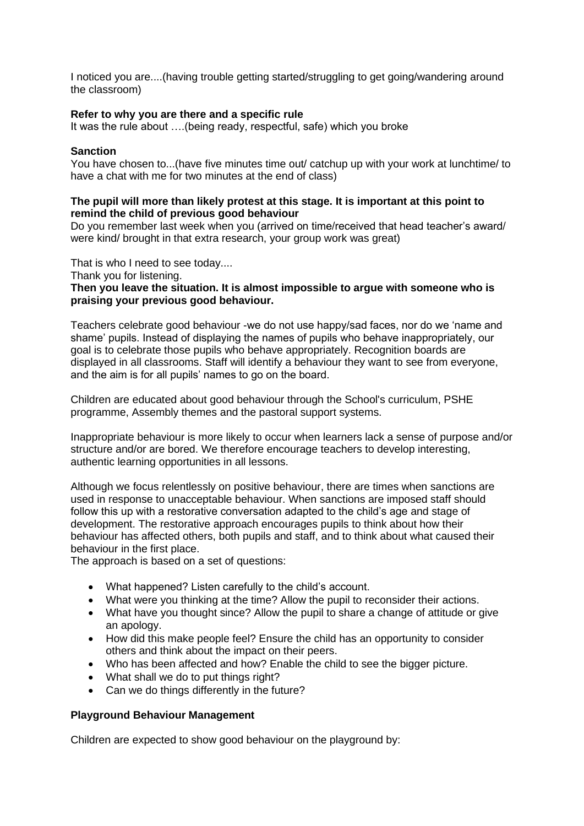I noticed you are....(having trouble getting started/struggling to get going/wandering around the classroom)

#### **Refer to why you are there and a specific rule**

It was the rule about ….(being ready, respectful, safe) which you broke

#### **Sanction**

You have chosen to...(have five minutes time out/ catchup up with your work at lunchtime/ to have a chat with me for two minutes at the end of class)

#### **The pupil will more than likely protest at this stage. It is important at this point to remind the child of previous good behaviour**

Do you remember last week when you (arrived on time/received that head teacher's award/ were kind/ brought in that extra research, your group work was great)

That is who I need to see today....

Thank you for listening.

#### **Then you leave the situation. It is almost impossible to argue with someone who is praising your previous good behaviour.**

Teachers celebrate good behaviour -we do not use happy/sad faces, nor do we 'name and shame' pupils. Instead of displaying the names of pupils who behave inappropriately, our goal is to celebrate those pupils who behave appropriately. Recognition boards are displayed in all classrooms. Staff will identify a behaviour they want to see from everyone, and the aim is for all pupils' names to go on the board.

Children are educated about good behaviour through the School's curriculum, PSHE programme, Assembly themes and the pastoral support systems.

Inappropriate behaviour is more likely to occur when learners lack a sense of purpose and/or structure and/or are bored. We therefore encourage teachers to develop interesting, authentic learning opportunities in all lessons.

Although we focus relentlessly on positive behaviour, there are times when sanctions are used in response to unacceptable behaviour. When sanctions are imposed staff should follow this up with a restorative conversation adapted to the child's age and stage of development. The restorative approach encourages pupils to think about how their behaviour has affected others, both pupils and staff, and to think about what caused their behaviour in the first place.

The approach is based on a set of questions:

- What happened? Listen carefully to the child's account.
- What were you thinking at the time? Allow the pupil to reconsider their actions.
- What have you thought since? Allow the pupil to share a change of attitude or give an apology.
- How did this make people feel? Ensure the child has an opportunity to consider others and think about the impact on their peers.
- Who has been affected and how? Enable the child to see the bigger picture.
- What shall we do to put things right?
- Can we do things differently in the future?

#### **Playground Behaviour Management**

Children are expected to show good behaviour on the playground by: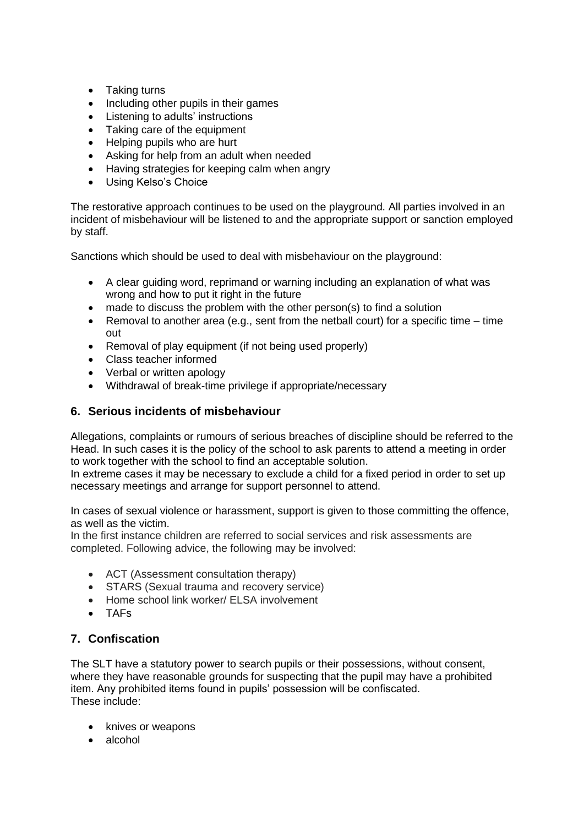- Taking turns
- Including other pupils in their games
- Listening to adults' instructions
- Taking care of the equipment
- Helping pupils who are hurt
- Asking for help from an adult when needed
- Having strategies for keeping calm when angry
- Using Kelso's Choice

The restorative approach continues to be used on the playground. All parties involved in an incident of misbehaviour will be listened to and the appropriate support or sanction employed by staff.

Sanctions which should be used to deal with misbehaviour on the playground:

- A clear guiding word, reprimand or warning including an explanation of what was wrong and how to put it right in the future
- made to discuss the problem with the other person(s) to find a solution
- Removal to another area (e.g., sent from the netball court) for a specific time time out
- Removal of play equipment (if not being used properly)
- Class teacher informed
- Verbal or written apology
- Withdrawal of break-time privilege if appropriate/necessary

## <span id="page-5-0"></span>**6. Serious incidents of misbehaviour**

Allegations, complaints or rumours of serious breaches of discipline should be referred to the Head. In such cases it is the policy of the school to ask parents to attend a meeting in order to work together with the school to find an acceptable solution.

In extreme cases it may be necessary to exclude a child for a fixed period in order to set up necessary meetings and arrange for support personnel to attend.

In cases of sexual violence or harassment, support is given to those committing the offence, as well as the victim.

In the first instance children are referred to social services and risk assessments are completed. Following advice, the following may be involved:

- ACT (Assessment consultation therapy)
- STARS (Sexual trauma and recovery service)
- Home school link worker/ ELSA involvement
- TAFs

## <span id="page-5-1"></span>**7. Confiscation**

The SLT have a statutory power to search pupils or their possessions, without consent, where they have reasonable grounds for suspecting that the pupil may have a prohibited item. Any prohibited items found in pupils' possession will be confiscated. These include:

- knives or weapons
- alcohol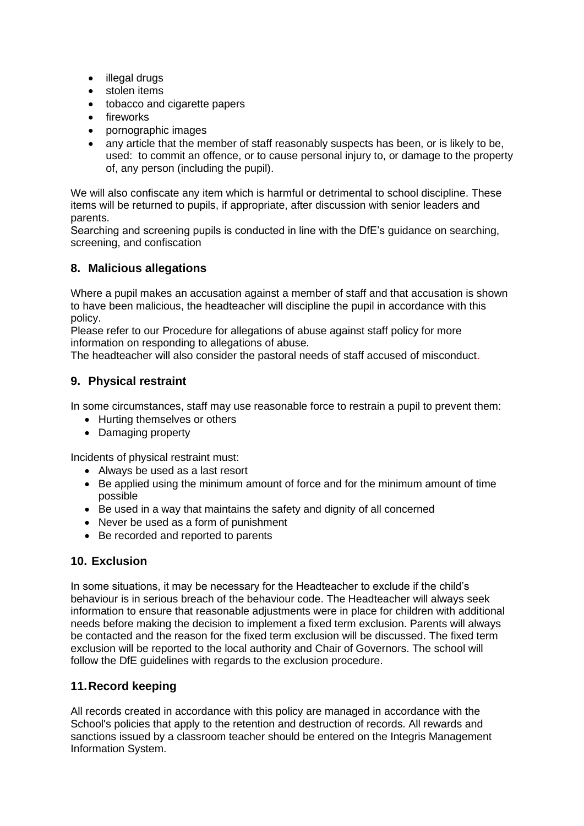- illegal drugs
- stolen items
- tobacco and cigarette papers
- fireworks
- pornographic images
- any article that the member of staff reasonably suspects has been, or is likely to be. used: to commit an offence, or to cause personal injury to, or damage to the property of, any person (including the pupil).

We will also confiscate any item which is harmful or detrimental to school discipline. These items will be returned to pupils, if appropriate, after discussion with senior leaders and parents.

Searching and screening pupils is conducted in line with the DfE's guidance on searching, screening, and confiscation

## <span id="page-6-0"></span>**8. Malicious allegations**

Where a pupil makes an accusation against a member of staff and that accusation is shown to have been malicious, the headteacher will discipline the pupil in accordance with this policy.

Please refer to our Procedure for allegations of abuse against staff policy for more information on responding to allegations of abuse.

The headteacher will also consider the pastoral needs of staff accused of misconduct.

## <span id="page-6-1"></span>**9. Physical restraint**

In some circumstances, staff may use reasonable force to restrain a pupil to prevent them:

- Hurting themselves or others
- Damaging property

Incidents of physical restraint must:

- Always be used as a last resort
- Be applied using the minimum amount of force and for the minimum amount of time possible
- Be used in a way that maintains the safety and dignity of all concerned
- Never be used as a form of punishment
- Be recorded and reported to parents

## <span id="page-6-2"></span>**10. Exclusion**

In some situations, it may be necessary for the Headteacher to exclude if the child's behaviour is in serious breach of the behaviour code. The Headteacher will always seek information to ensure that reasonable adjustments were in place for children with additional needs before making the decision to implement a fixed term exclusion. Parents will always be contacted and the reason for the fixed term exclusion will be discussed. The fixed term exclusion will be reported to the local authority and Chair of Governors. The school will follow the DfE guidelines with regards to the exclusion procedure.

## <span id="page-6-3"></span>**11.Record keeping**

All records created in accordance with this policy are managed in accordance with the School's policies that apply to the retention and destruction of records. All rewards and sanctions issued by a classroom teacher should be entered on the Integris Management Information System.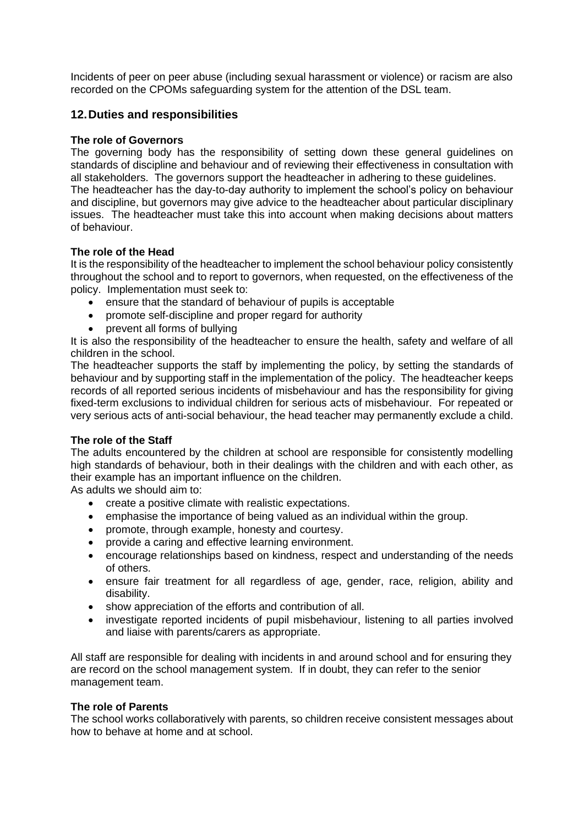Incidents of peer on peer abuse (including sexual harassment or violence) or racism are also recorded on the CPOMs safeguarding system for the attention of the DSL team.

## <span id="page-7-0"></span>**12.Duties and responsibilities**

#### **The role of Governors**

The governing body has the responsibility of setting down these general guidelines on standards of discipline and behaviour and of reviewing their effectiveness in consultation with all stakeholders. The governors support the headteacher in adhering to these guidelines. The headteacher has the day-to-day authority to implement the school's policy on behaviour and discipline, but governors may give advice to the headteacher about particular disciplinary issues. The headteacher must take this into account when making decisions about matters of behaviour.

#### **The role of the Head**

It is the responsibility of the headteacher to implement the school behaviour policy consistently throughout the school and to report to governors, when requested, on the effectiveness of the policy. Implementation must seek to:

- ensure that the standard of behaviour of pupils is acceptable
- promote self-discipline and proper regard for authority
- prevent all forms of bullying

It is also the responsibility of the headteacher to ensure the health, safety and welfare of all children in the school.

The headteacher supports the staff by implementing the policy, by setting the standards of behaviour and by supporting staff in the implementation of the policy. The headteacher keeps records of all reported serious incidents of misbehaviour and has the responsibility for giving fixed-term exclusions to individual children for serious acts of misbehaviour. For repeated or very serious acts of anti-social behaviour, the head teacher may permanently exclude a child.

#### **The role of the Staff**

The adults encountered by the children at school are responsible for consistently modelling high standards of behaviour, both in their dealings with the children and with each other, as their example has an important influence on the children.

As adults we should aim to:

- create a positive climate with realistic expectations.
- emphasise the importance of being valued as an individual within the group.
- promote, through example, honesty and courtesy.
- provide a caring and effective learning environment.
- encourage relationships based on kindness, respect and understanding of the needs of others.
- ensure fair treatment for all regardless of age, gender, race, religion, ability and disability.
- show appreciation of the efforts and contribution of all.
- investigate reported incidents of pupil misbehaviour, listening to all parties involved and liaise with parents/carers as appropriate.

All staff are responsible for dealing with incidents in and around school and for ensuring they are record on the school management system. If in doubt, they can refer to the senior management team.

#### **The role of Parents**

The school works collaboratively with parents, so children receive consistent messages about how to behave at home and at school.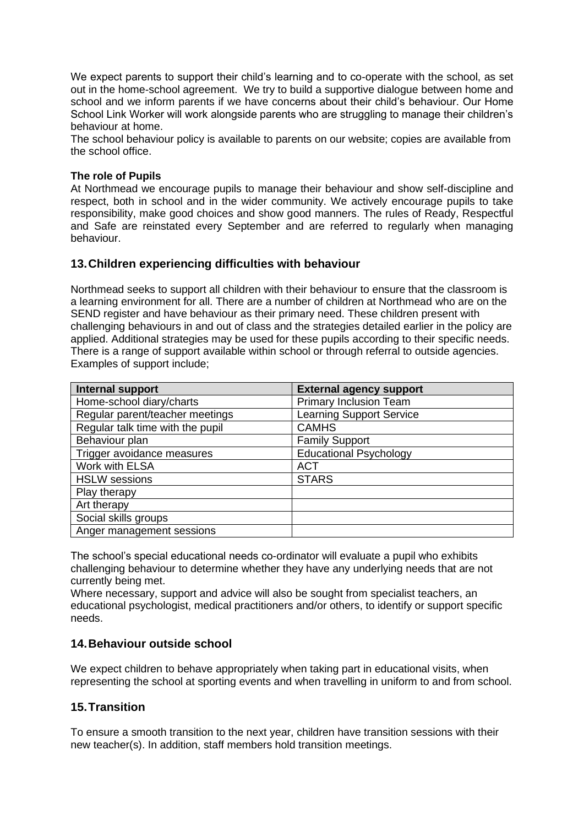We expect parents to support their child's learning and to co-operate with the school, as set out in the home-school agreement. We try to build a supportive dialogue between home and school and we inform parents if we have concerns about their child's behaviour. Our Home School Link Worker will work alongside parents who are struggling to manage their children's behaviour at home.

The school behaviour policy is available to parents on our website; copies are available from the school office.

#### **The role of Pupils**

At Northmead we encourage pupils to manage their behaviour and show self-discipline and respect, both in school and in the wider community. We actively encourage pupils to take responsibility, make good choices and show good manners. The rules of Ready, Respectful and Safe are reinstated every September and are referred to regularly when managing behaviour.

#### <span id="page-8-0"></span>**13.Children experiencing difficulties with behaviour**

Northmead seeks to support all children with their behaviour to ensure that the classroom is a learning environment for all. There are a number of children at Northmead who are on the SEND register and have behaviour as their primary need. These children present with challenging behaviours in and out of class and the strategies detailed earlier in the policy are applied. Additional strategies may be used for these pupils according to their specific needs. There is a range of support available within school or through referral to outside agencies. Examples of support include;

| Internal support                 | <b>External agency support</b>  |
|----------------------------------|---------------------------------|
| Home-school diary/charts         | <b>Primary Inclusion Team</b>   |
| Regular parent/teacher meetings  | <b>Learning Support Service</b> |
| Regular talk time with the pupil | <b>CAMHS</b>                    |
| Behaviour plan                   | <b>Family Support</b>           |
| Trigger avoidance measures       | <b>Educational Psychology</b>   |
| Work with ELSA                   | <b>ACT</b>                      |
| <b>HSLW</b> sessions             | <b>STARS</b>                    |
| Play therapy                     |                                 |
| Art therapy                      |                                 |
| Social skills groups             |                                 |
| Anger management sessions        |                                 |

The school's special educational needs co-ordinator will evaluate a pupil who exhibits challenging behaviour to determine whether they have any underlying needs that are not currently being met.

Where necessary, support and advice will also be sought from specialist teachers, an educational psychologist, medical practitioners and/or others, to identify or support specific needs.

#### <span id="page-8-1"></span>**14.Behaviour outside school**

We expect children to behave appropriately when taking part in educational visits, when representing the school at sporting events and when travelling in uniform to and from school.

#### <span id="page-8-2"></span>**15.Transition**

To ensure a smooth transition to the next year, children have transition sessions with their new teacher(s). In addition, staff members hold transition meetings.